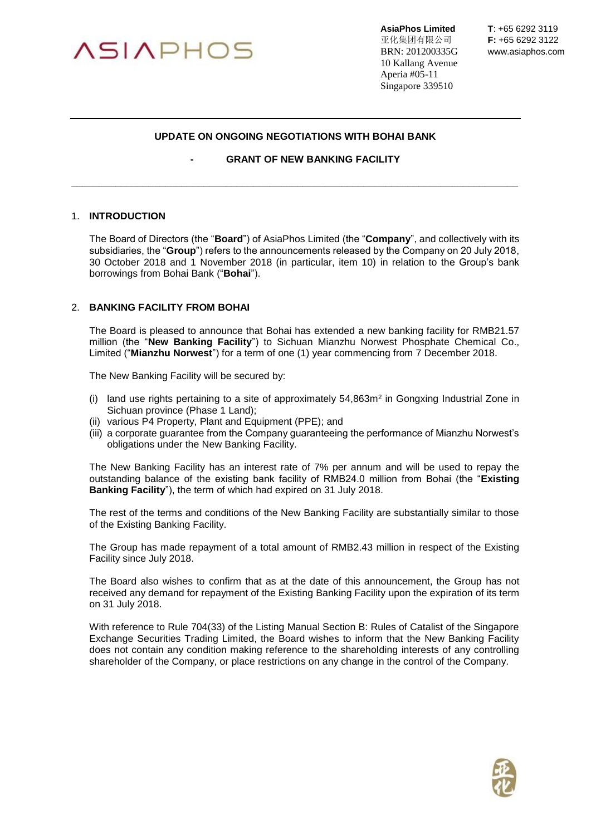

**AsiaPhos Limited T**: +65 6292 3119 亚化集团有限公司 **F:** +65 6292 3122 BRN: 201200335G www.asiaphos.com 10 Kallang Avenue Aperia #05-11 Singapore 339510

## **UPDATE ON ONGOING NEGOTIATIONS WITH BOHAI BANK**

**\_\_\_\_\_\_\_\_\_\_\_\_\_\_\_\_\_\_\_\_\_\_\_\_\_\_\_\_\_\_\_\_\_\_\_\_\_\_\_\_\_\_\_\_\_\_\_\_\_\_\_\_\_\_\_\_\_\_\_\_\_\_\_\_\_\_\_\_\_\_\_\_\_\_\_\_\_\_\_\_\_**

**- GRANT OF NEW BANKING FACILITY**

## 1. **INTRODUCTION**

The Board of Directors (the "**Board**") of AsiaPhos Limited (the "**Company**", and collectively with its subsidiaries, the "**Group**") refers to the announcements released by the Company on 20 July 2018, 30 October 2018 and 1 November 2018 (in particular, item 10) in relation to the Group's bank borrowings from Bohai Bank ("**Bohai**").

#### 2. **BANKING FACILITY FROM BOHAI**

The Board is pleased to announce that Bohai has extended a new banking facility for RMB21.57 million (the "**New Banking Facility**") to Sichuan Mianzhu Norwest Phosphate Chemical Co., Limited ("**Mianzhu Norwest**") for a term of one (1) year commencing from 7 December 2018.

The New Banking Facility will be secured by:

- (i) land use rights pertaining to a site of approximately  $54,863m<sup>2</sup>$  in Gongxing Industrial Zone in Sichuan province (Phase 1 Land);
- (ii) various P4 Property, Plant and Equipment (PPE); and
- (iii) a corporate guarantee from the Company guaranteeing the performance of Mianzhu Norwest's obligations under the New Banking Facility.

The New Banking Facility has an interest rate of 7% per annum and will be used to repay the outstanding balance of the existing bank facility of RMB24.0 million from Bohai (the "**Existing Banking Facility**"), the term of which had expired on 31 July 2018.

The rest of the terms and conditions of the New Banking Facility are substantially similar to those of the Existing Banking Facility.

The Group has made repayment of a total amount of RMB2.43 million in respect of the Existing Facility since July 2018.

The Board also wishes to confirm that as at the date of this announcement, the Group has not received any demand for repayment of the Existing Banking Facility upon the expiration of its term on 31 July 2018.

With reference to Rule 704(33) of the Listing Manual Section B: Rules of Catalist of the Singapore Exchange Securities Trading Limited, the Board wishes to inform that the New Banking Facility does not contain any condition making reference to the shareholding interests of any controlling shareholder of the Company, or place restrictions on any change in the control of the Company.